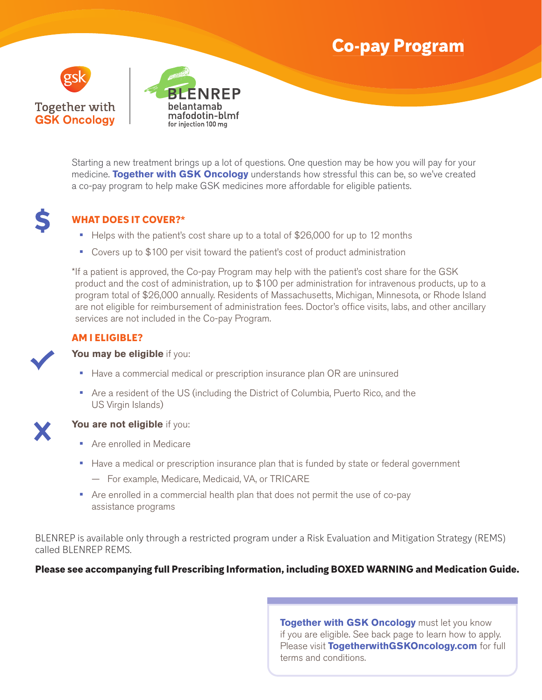# **Co-pay Program**





Starting a new treatment brings up a lot of questions. One question may be how you will pay for your medicine. **Together with GSK Oncology** understands how stressful this can be, so we've created a co-pay program to help make GSK medicines more affordable for eligible patients.



### **WHAT DOES IT COVER?\***

- **•** Helps with the patient's cost share up to a total of \$26,000 for up to 12 months
- **•** Covers up to \$100 per visit toward the patient's cost of product administration

\* If a patient is approved, the Co-pay Program may help with the patient's cost share for the GSK product and the cost of administration, up to \$100 per administration for intravenous products, up to a program total of \$26,000 annually. Residents of Massachusetts, Michigan, Minnesota, or Rhode Island are not eligible for reimbursement of administration fees. Doctor's office visits, labs, and other ancillary services are not included in the Co-pay Program.

### **AM I ELIGIBLE?**

#### **You may be eligible** if you:

- **•** Have a commercial medical or prescription insurance plan OR are uninsured
- **•** Are a resident of the US (including the District of Columbia, Puerto Rico, and the US Virgin Islands)



#### **You are not eligible** if you:

- **•** Are enrolled in Medicare
- **•** Have a medical or prescription insurance plan that is funded by state or federal government
	- For example, Medicare, Medicaid, VA, or TRICARE
- **•** Are enrolled in a commercial health plan that does not permit the use of co-pay assistance programs

BLENREP is available only through a restricted program under a Risk Evaluation and Mitigation Strategy (REMS) called BLENREP REMS.

### **Please see accompanying full Prescribing Information, including BOXED WARNING and Medication Guide.**

**Together with GSK Oncology** must let you know if you are eligible. See back page to learn how to apply. Please visit **TogetherwithGSKOncology.com** for full terms and conditions.